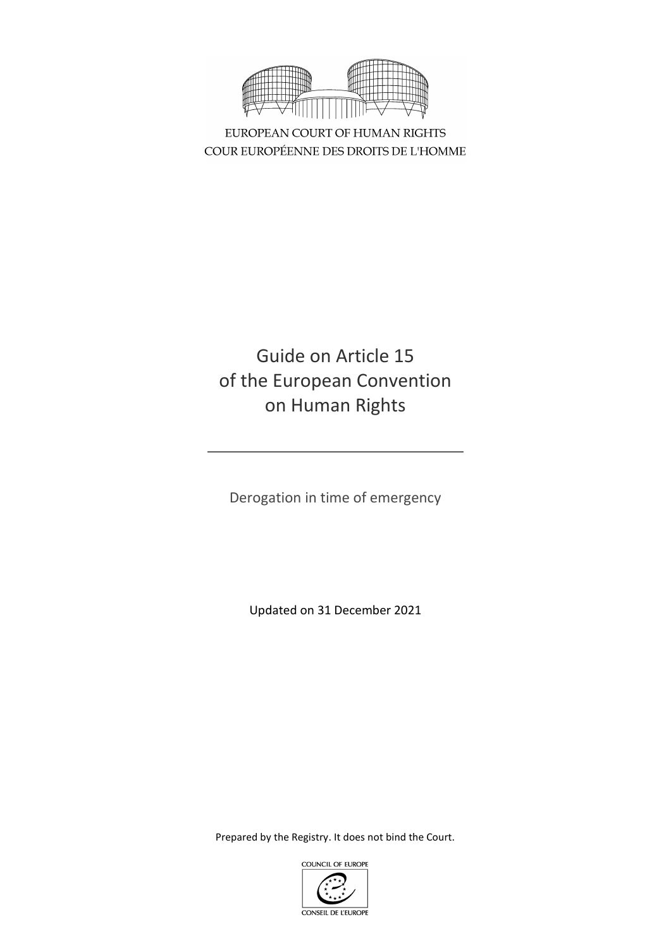

EUROPEAN COURT OF HUMAN RIGHTS COUR EUROPÉENNE DES DROITS DE L'HOMME

# Guide on Article 15 of the European Convention on Human Rights

Derogation in time of emergency

Updated on 31 December 2021

Prepared by the Registry. It does not bind the Court.

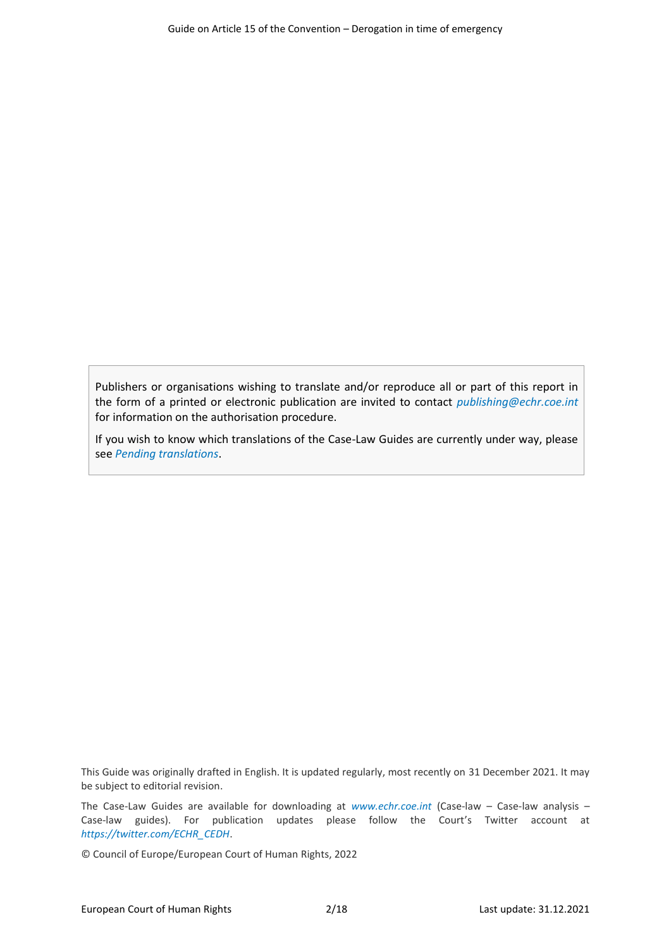Publishers or organisations wishing to translate and/or reproduce all or part of this report in the form of a printed or electronic publication are invited to contact *[publishing@echr.coe.int](mailto:publishing@echr.coe.int)* for information on the authorisation procedure.

If you wish to know which translations of the Case-Law Guides are currently under way, please see *[Pending translations](http://www.echr.coe.int/Documents/Translations_pending_ENG.pdf)*.

This Guide was originally drafted in English. It is updated regularly, most recently on 31 December 2021. It may be subject to editorial revision.

The Case-Law Guides are available for downloading at *[www.echr.coe.int](http://www.echr.coe.int/Pages/home.aspx?p=caselaw/analysis/guides&c=)* (Case-law – Case-law analysis – Case-law guides). For publication updates please follow the Court's Twitter account at *[https://twitter.com/ECHR\\_CEDH](https://twitter.com/ECHR_CEDH)*.

© Council of Europe/European Court of Human Rights, 2022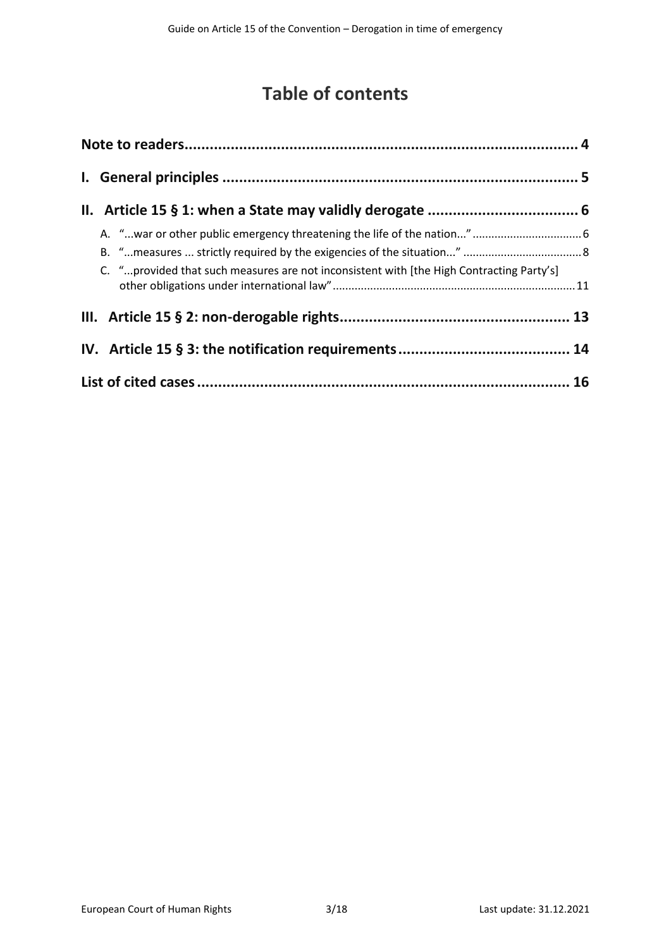# **Table of contents**

|  | C. "provided that such measures are not inconsistent with [the High Contracting Party's] |  |
|--|------------------------------------------------------------------------------------------|--|
|  |                                                                                          |  |
|  |                                                                                          |  |
|  |                                                                                          |  |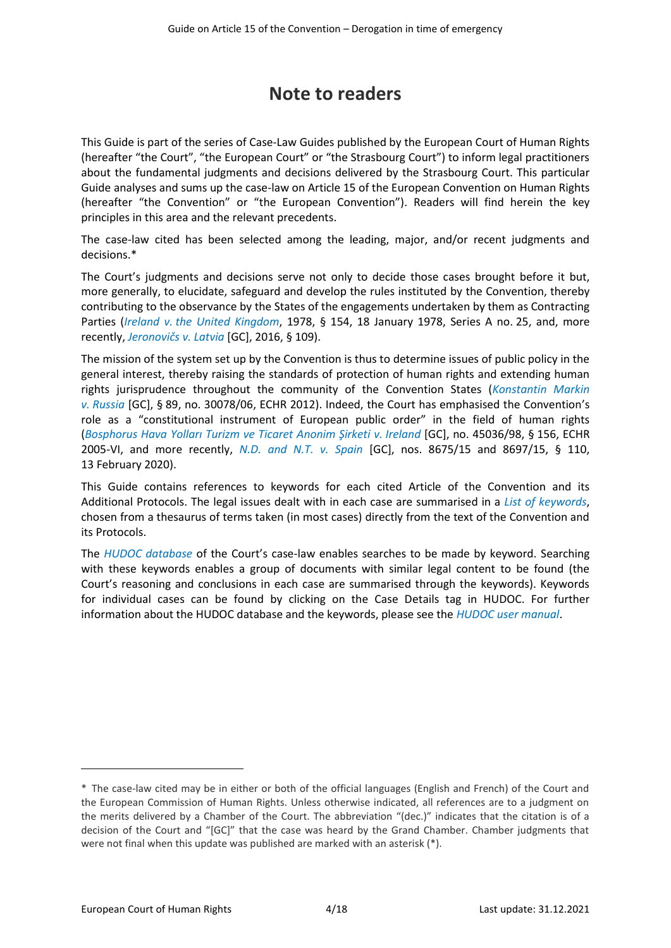## **Note to readers**

<span id="page-3-0"></span>This Guide is part of the series of Case-Law Guides published by the European Court of Human Rights (hereafter "the Court", "the European Court" or "the Strasbourg Court") to inform legal practitioners about the fundamental judgments and decisions delivered by the Strasbourg Court. This particular Guide analyses and sums up the case-law on Article 15 of the European Convention on Human Rights (hereafter "the Convention" or "the European Convention"). Readers will find herein the key principles in this area and the relevant precedents.

The case-law cited has been selected among the leading, major, and/or recent judgments and decisions.\*

The Court's judgments and decisions serve not only to decide those cases brought before it but, more generally, to elucidate, safeguard and develop the rules instituted by the Convention, thereby contributing to the observance by the States of the engagements undertaken by them as Contracting Parties (*Ireland v. [the United Kingdom](http://hudoc.echr.coe.int/eng?i=001-57506)*, 1978, § 154, 18 January 1978, Series A no. 25, and, more recently, *[Jeronovičs](http://hudoc.echr.coe.int/eng?i=001-165032) v. Latvia* [GC], 2016, § 109).

The mission of the system set up by the Convention is thus to determine issues of public policy in the general interest, thereby raising the standards of protection of human rights and extending human rights jurisprudence throughout the community of the Convention States (*[Konstantin Markin](http://hudoc.echr.coe.int/eng?i=001-109868) v. [Russia](http://hudoc.echr.coe.int/eng?i=001-109868)* [GC], § 89, no. 30078/06, ECHR 2012). Indeed, the Court has emphasised the Convention's role as a "constitutional instrument of European public order" in the field of human rights (*Bosphorus Hava [Yolları Turizm ve Ticaret Anonim Şirketi](http://hudoc.echr.coe.int/eng?i=001-69564) v. Ireland* [GC], no. 45036/98, § 156, ECHR 2005-VI, and more recently, *[N.D. and N.T. v. Spain](http://hudoc.echr.coe.int/eng?i=001-201353)* [GC], nos. 8675/15 and 8697/15, § 110, 13 February 2020).

This Guide contains references to keywords for each cited Article of the Convention and its Additional Protocols. The legal issues dealt with in each case are summarised in a *[List of keywords](http://www.echr.coe.int/Documents/HUDOC_Keywords_ENG.pdf)*, chosen from a thesaurus of terms taken (in most cases) directly from the text of the Convention and its Protocols.

The *[HUDOC database](http://hudoc.echr.coe.int/)* of the Court's case-law enables searches to be made by keyword. Searching with these keywords enables a group of documents with similar legal content to be found (the Court's reasoning and conclusions in each case are summarised through the keywords). Keywords for individual cases can be found by clicking on the Case Details tag in HUDOC. For further information about the HUDOC database and the keywords, please see the *[HUDOC user manual](http://www.echr.coe.int/Documents/HUDOC_Manual_2016_ENG.PDF)*.

<sup>\*</sup> The case-law cited may be in either or both of the official languages (English and French) of the Court and the European Commission of Human Rights. Unless otherwise indicated, all references are to a judgment on the merits delivered by a Chamber of the Court. The abbreviation "(dec.)" indicates that the citation is of a decision of the Court and "[GC]" that the case was heard by the Grand Chamber. Chamber judgments that were not final when this update was published are marked with an asterisk (\*).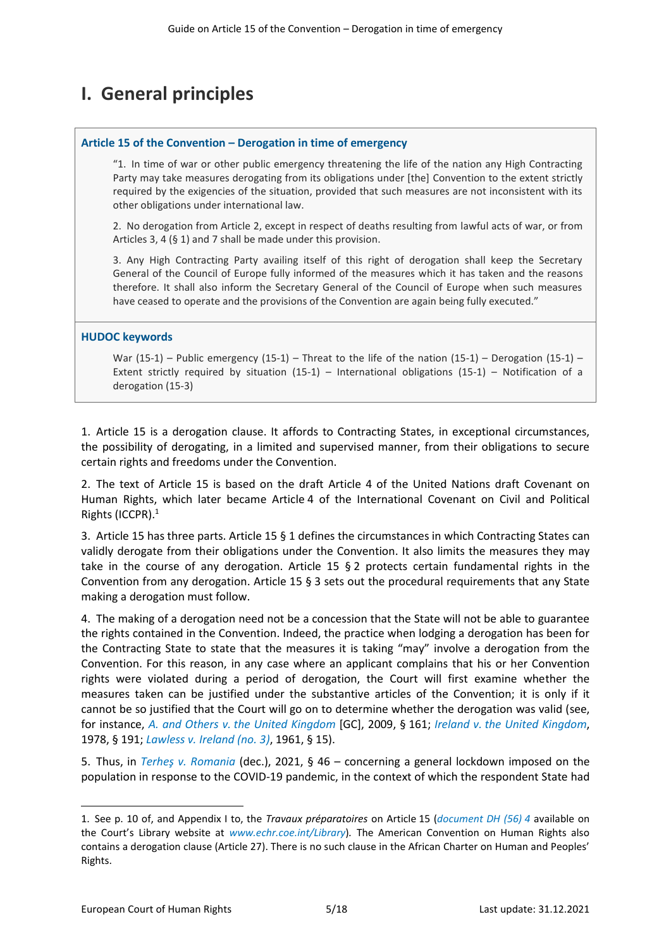# <span id="page-4-0"></span>**I. General principles**

#### **Article 15 of the Convention – Derogation in time of emergency**

"1. In time of war or other public emergency threatening the life of the nation any High Contracting Party may take measures derogating from its obligations under [the] Convention to the extent strictly required by the exigencies of the situation, provided that such measures are not inconsistent with its other obligations under international law.

2. No derogation from Article 2, except in respect of deaths resulting from lawful acts of war, or from Articles 3, 4 (§ 1) and 7 shall be made under this provision.

3. Any High Contracting Party availing itself of this right of derogation shall keep the Secretary General of the Council of Europe fully informed of the measures which it has taken and the reasons therefore. It shall also inform the Secretary General of the Council of Europe when such measures have ceased to operate and the provisions of the Convention are again being fully executed."

#### **HUDOC keywords**

War (15-1) – Public emergency (15-1) – Threat to the life of the nation (15-1) – Derogation (15-1) – Extent strictly required by situation (15-1) – International obligations (15-1) – Notification of a derogation (15-3)

1. Article 15 is a derogation clause. It affords to Contracting States, in exceptional circumstances, the possibility of derogating, in a limited and supervised manner, from their obligations to secure certain rights and freedoms under the Convention.

2. The text of Article 15 is based on the draft Article 4 of the United Nations draft Covenant on Human Rights, which later became Article 4 of the International Covenant on Civil and Political Rights (ICCPR). 1

3. Article 15 has three parts. Article 15 § 1 defines the circumstances in which Contracting States can validly derogate from their obligations under the Convention. It also limits the measures they may take in the course of any derogation. Article 15 § 2 protects certain fundamental rights in the Convention from any derogation. Article 15 § 3 sets out the procedural requirements that any State making a derogation must follow.

4. The making of a derogation need not be a concession that the State will not be able to guarantee the rights contained in the Convention. Indeed, the practice when lodging a derogation has been for the Contracting State to state that the measures it is taking "may" involve a derogation from the Convention. For this reason, in any case where an applicant complains that his or her Convention rights were violated during a period of derogation, the Court will first examine whether the measures taken can be justified under the substantive articles of the Convention; it is only if it cannot be so justified that the Court will go on to determine whether the derogation was valid (see, for instance, *A. and Others v. [the United Kingdom](http://hudoc.echr.coe.int/eng?i=001-91403)* [GC], 2009, § 161; *Ireland v. [the United Kingdom](http://hudoc.echr.coe.int/eng?i=001-57506)*, 1978, § 191; *Lawless v. [Ireland \(no.](http://hudoc.echr.coe.int/eng?i=001-57518) 3)*, 1961, § 15).

5. Thus, in *[Terheş v. Romania](https://hudoc.echr.coe.int/eng?i=001-210026)* (dec.), 2021, § 46 – concerning a general lockdown imposed on the population in response to the COVID-19 pandemic, in the context of which the respondent State had

<sup>1.</sup> See p. 10 of, and Appendix I to, the *Travaux préparatoires* on Article 15 (*[document DH \(56\)](http://www.echr.coe.int/LibraryDocs/Travaux/ECHRTravaux-ART15-DH(56)4-EN1675477.pdf) 4* available on the Court's Library website at *[www.echr.coe.int/Library](http://www.echr.coe.int/library)*)*.* The American Convention on Human Rights also contains a derogation clause (Article 27). There is no such clause in the African Charter on Human and Peoples' Rights.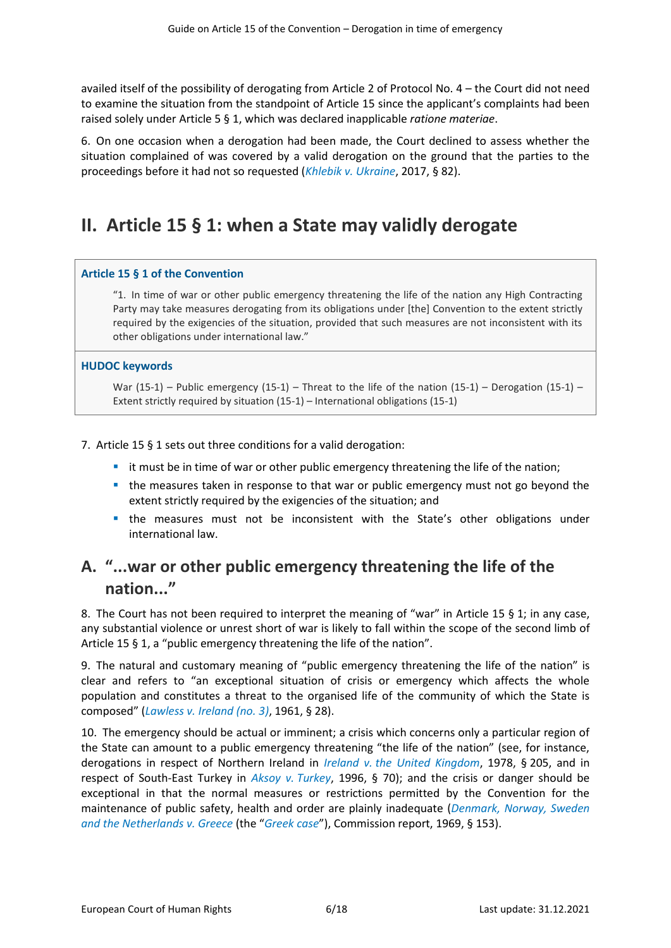availed itself of the possibility of derogating from Article 2 of Protocol No. 4 – the Court did not need to examine the situation from the standpoint of Article 15 since the applicant's complaints had been raised solely under Article 5 § 1, which was declared inapplicable *ratione materiae*.

6. On one occasion when a derogation had been made, the Court declined to assess whether the situation complained of was covered by a valid derogation on the ground that the parties to the proceedings before it had not so requested (*Khlebik v. [Ukraine](http://hudoc.echr.coe.int/eng?i=001-175656)*, 2017, § 82).

## <span id="page-5-0"></span>**II. Article 15 § 1: when a State may validly derogate**

#### **Article 15 § 1 of the Convention**

"1. In time of war or other public emergency threatening the life of the nation any High Contracting Party may take measures derogating from its obligations under [the] Convention to the extent strictly required by the exigencies of the situation, provided that such measures are not inconsistent with its other obligations under international law."

#### **HUDOC keywords**

War (15-1) – Public emergency (15-1) – Threat to the life of the nation (15-1) – Derogation (15-1) – Extent strictly required by situation (15-1) – International obligations (15-1)

#### 7. Article 15 § 1 sets out three conditions for a valid derogation:

- it must be in time of war or other public emergency threatening the life of the nation;
- the measures taken in response to that war or public emergency must not go beyond the extent strictly required by the exigencies of the situation; and
- **■** the measures must not be inconsistent with the State's other obligations under international law.

## <span id="page-5-1"></span>**A. "...war or other public emergency threatening the life of the nation..."**

8. The Court has not been required to interpret the meaning of "war" in Article 15 § 1; in any case, any substantial violence or unrest short of war is likely to fall within the scope of the second limb of Article 15 § 1, a "public emergency threatening the life of the nation".

9. The natural and customary meaning of "public emergency threatening the life of the nation" is clear and refers to "an exceptional situation of crisis or emergency which affects the whole population and constitutes a threat to the organised life of the community of which the State is composed" (*Lawless v. [Ireland \(no.](http://hudoc.echr.coe.int/eng?i=001-57518) 3)*, 1961, § 28).

10. The emergency should be actual or imminent; a crisis which concerns only a particular region of the State can amount to a public emergency threatening "the life of the nation" (see, for instance, derogations in respect of Northern Ireland in *Ireland v. [the United Kingdom](http://hudoc.echr.coe.int/eng?i=001-57506)*, 1978, § 205, and in respect of South-East Turkey in *Aksoy v. [Turkey](http://hudoc.echr.coe.int/eng?i=001-58003)*, 1996, § 70); and the crisis or danger should be exceptional in that the normal measures or restrictions permitted by the Convention for the maintenance of public safety, health and order are plainly inadequate (*[Denmark, Norway, Sweden](http://hudoc.echr.coe.int/eng?i=001-167795)  [and the Netherlands](http://hudoc.echr.coe.int/eng?i=001-167795) v. Greece* (the "*[Greek case](http://hudoc.echr.coe.int/eng?i=001-167795)*"), Commission report, 1969, § 153).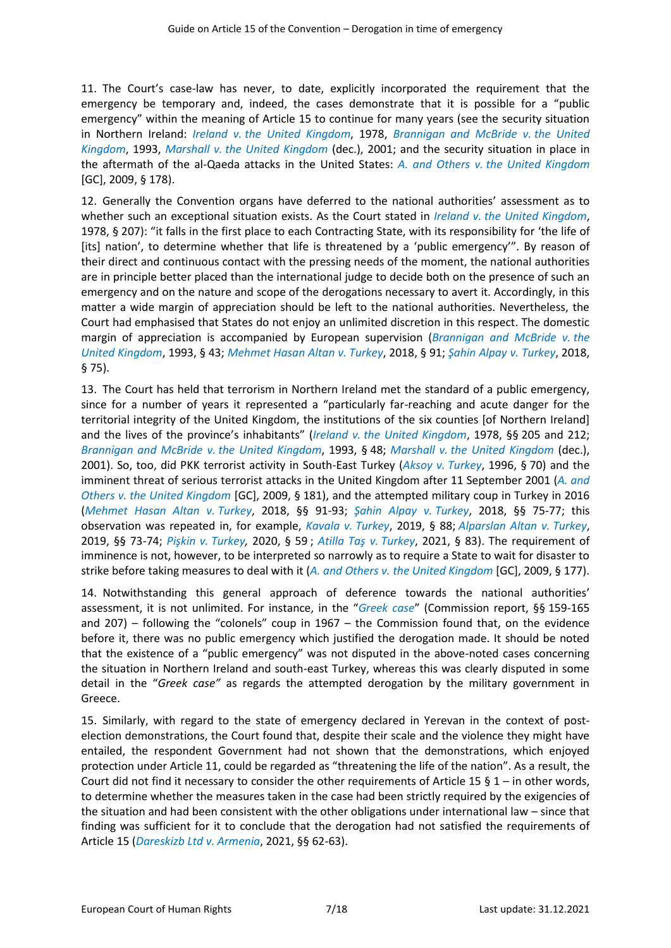11. The Court's case-law has never, to date, explicitly incorporated the requirement that the emergency be temporary and, indeed, the cases demonstrate that it is possible for a "public emergency" within the meaning of Article 15 to continue for many years (see the security situation in Northern Ireland: *Ireland v. [the United Kingdom](http://hudoc.echr.coe.int/eng?i=001-57506)*, 1978, *[Brannigan and McBride](http://hudoc.echr.coe.int/eng?i=001-57819) v. the United [Kingdom](http://hudoc.echr.coe.int/eng?i=001-57819)*, 1993, *Marshall v. [the United Kingdom](http://hudoc.echr.coe.int/eng?i=001-5967)* (dec.), 2001; and the security situation in place in the aftermath of the al-Qaeda attacks in the United States: *A. and Others v. [the United Kingdom](http://hudoc.echr.coe.int/eng?i=001-91403)* [GC], 2009, § 178).

12. Generally the Convention organs have deferred to the national authorities' assessment as to whether such an exceptional situation exists. As the Court stated in *Ireland v. [the United Kingdom](http://hudoc.echr.coe.int/eng?i=001-57506)*, 1978, § 207): "it falls in the first place to each Contracting State, with its responsibility for 'the life of [its] nation', to determine whether that life is threatened by a 'public emergency'". By reason of their direct and continuous contact with the pressing needs of the moment, the national authorities are in principle better placed than the international judge to decide both on the presence of such an emergency and on the nature and scope of the derogations necessary to avert it. Accordingly, in this matter a wide margin of appreciation should be left to the national authorities. Nevertheless, the Court had emphasised that States do not enjoy an unlimited discretion in this respect. The domestic margin of appreciation is accompanied by European supervision (*[Brannigan and McBride](http://hudoc.echr.coe.int/eng?i=001-57819) v. the [United Kingdom](http://hudoc.echr.coe.int/eng?i=001-57819)*, 1993, § 43; *[Mehmet Hasan Altan](http://hudoc.echr.coe.int/eng?i=001-181862) v. Turkey*, 2018, § 91; *[Şahin Alpay](http://hudoc.echr.coe.int/eng?i=001-181866) v. Turkey*, 2018, § 75).

13. The Court has held that terrorism in Northern Ireland met the standard of a public emergency, since for a number of years it represented a "particularly far-reaching and acute danger for the territorial integrity of the United Kingdom, the institutions of the six counties [of Northern Ireland] and the lives of the province's inhabitants" (*Ireland v. [the United Kingdom](http://hudoc.echr.coe.int/eng?i=001-57506)*, 1978, §§ 205 and 212; *[Brannigan and McBride](http://hudoc.echr.coe.int/eng?i=001-57819) v. the United Kingdom*, 1993, § 48; *Marshall v. [the United Kingdom](http://hudoc.echr.coe.int/eng?i=001-5967)* (dec.), 2001). So, too, did PKK terrorist activity in South-East Turkey (*Aksoy v. [Turkey](http://hudoc.echr.coe.int/eng?i=001-58003)*, 1996, § 70) and the imminent threat of serious terrorist attacks in the United Kingdom after 11 September 2001 (*A. [and](http://hudoc.echr.coe.int/eng?i=001-91403)  Others v. [the United Kingdom](http://hudoc.echr.coe.int/eng?i=001-91403)* [GC], 2009, § 181), and the attempted military coup in Turkey in 2016 (*[Mehmet Hasan Altan](http://hudoc.echr.coe.int/eng?i=001-181862) v. Turkey*, 2018, §§ 91-93; *[Şahin Alpay](http://hudoc.echr.coe.int/eng?i=001-181866) v. Turkey*, 2018, §§ 75-77; this observation was repeated in, for example, *[Kavala](http://hudoc.echr.coe.int/eng?i=001-199515) v. Turkey*, 2019, § 88; *[Alparslan Altan](http://hudoc.echr.coe.int/eng?i=001-192804) v. Turkey*, 2019, §§ 73-74; *Pişkin v. [Turkey,](http://hudoc.echr.coe.int/eng?i=001-206901)* 2020, § 59 ; *[Atilla Taş](http://hudoc.echr.coe.int/eng?i=001-207367) v. Turkey*, 2021, § 83). The requirement of imminence is not, however, to be interpreted so narrowly as to require a State to wait for disaster to strike before taking measures to deal with it (*A. and Others v. [the United Kingdom](http://hudoc.echr.coe.int/eng?i=001-91403)* [GC], 2009, § 177).

14. Notwithstanding this general approach of deference towards the national authorities' assessment, it is not unlimited. For instance, in the "*[Greek case](http://hudoc.echr.coe.int/eng?i=001-167795)*" (Commission report, §§ 159-165 and 207) – following the "colonels" coup in 1967 – the Commission found that, on the evidence before it, there was no public emergency which justified the derogation made. It should be noted that the existence of a "public emergency" was not disputed in the above-noted cases concerning the situation in Northern Ireland and south-east Turkey, whereas this was clearly disputed in some detail in the "*Greek case"* as regards the attempted derogation by the military government in Greece.

15. Similarly, with regard to the state of emergency declared in Yerevan in the context of postelection demonstrations, the Court found that, despite their scale and the violence they might have entailed, the respondent Government had not shown that the demonstrations, which enjoyed protection under Article 11, could be regarded as "threatening the life of the nation". As a result, the Court did not find it necessary to consider the other requirements of Article 15 § 1 – in other words, to determine whether the measures taken in the case had been strictly required by the exigencies of the situation and had been consistent with the other obligations under international law – since that finding was sufficient for it to conclude that the derogation had not satisfied the requirements of Article 15 (*[Dareskizb Ltd v. Armenia](https://hudoc.echr.coe.int/eng?i=001-211813)*, 2021, §§ 62-63).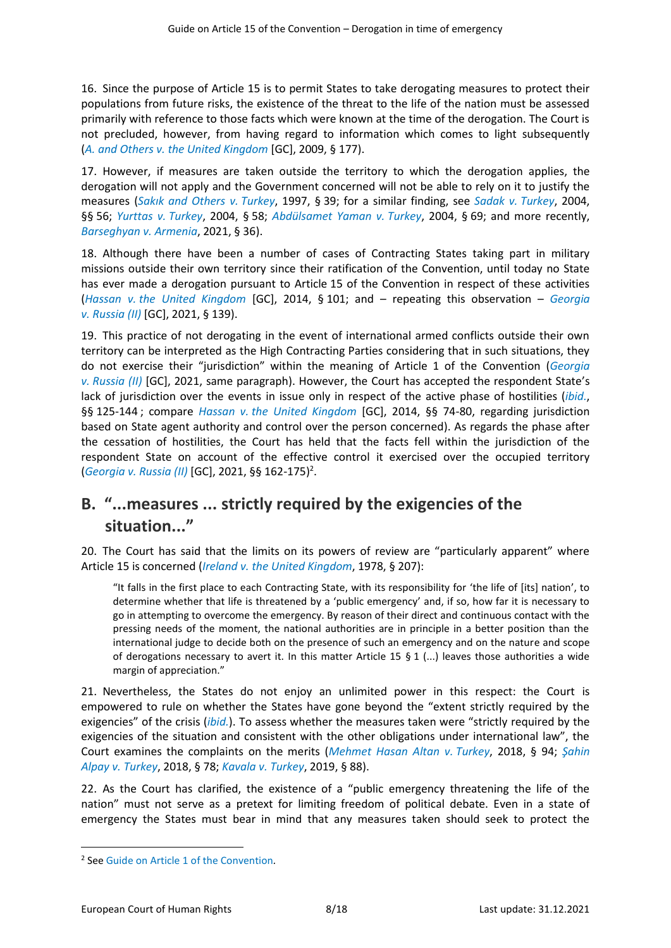16. Since the purpose of Article 15 is to permit States to take derogating measures to protect their populations from future risks, the existence of the threat to the life of the nation must be assessed primarily with reference to those facts which were known at the time of the derogation. The Court is not precluded, however, from having regard to information which comes to light subsequently (*A. and Others v. [the United Kingdom](http://hudoc.echr.coe.int/eng?i=001-91403)* [GC], 2009, § 177).

17. However, if measures are taken outside the territory to which the derogation applies, the derogation will not apply and the Government concerned will not be able to rely on it to justify the measures (*[Sakık and Others](http://hudoc.echr.coe.int/eng?i=001-58117) v. Turkey*, 1997, § 39; for a similar finding, see *Sadak v. [Turkey](http://hudoc.echr.coe.int/eng?i=001-66257)*, 2004, §§ 56; *[Yurttas](http://hudoc.echr.coe.int/eng?i=001-66345) v. Turkey*, 2004, § 58; *[Abdülsamet Yaman](http://hudoc.echr.coe.int/eng?i=001-67228) v. Turkey*, 2004, § 69; and more recently, *[Barseghyan v.](http://hudoc.echr.coe.int/eng?i=001-211814) Armenia*, 2021, § 36).

18. Although there have been a number of cases of Contracting States taking part in military missions outside their own territory since their ratification of the Convention, until today no State has ever made a derogation pursuant to Article 15 of the Convention in respect of these activities (*Hassan v. [the United Kingdom](http://hudoc.echr.coe.int/eng?i=001-146501)* [GC], 2014, § 101; and – repeating this observation – *[Georgia](http://hudoc.echr.coe.int/eng?i=001-207757) v. [Russia \(II\)](http://hudoc.echr.coe.int/eng?i=001-207757)* [GC], 2021, § 139).

19. This practice of not derogating in the event of international armed conflicts outside their own territory can be interpreted as the High Contracting Parties considering that in such situations, they do not exercise their "jurisdiction" within the meaning of Article 1 of the Convention (*[Georgia](http://hudoc.echr.coe.int/eng?i=001-207757) v. [Russia \(II\)](http://hudoc.echr.coe.int/eng?i=001-207757)* [GC], 2021, same paragraph). However, the Court has accepted the respondent State's lack of jurisdiction over the events in issue only in respect of the active phase of hostilities (*[ibid.](http://hudoc.echr.coe.int/eng?i=001-207757)*, §§ 125-144 ; compare *Hassan v. [the United Kingdom](http://hudoc.echr.coe.int/eng?i=001-146501)* [GC], 2014, §§ 74-80, regarding jurisdiction based on State agent authority and control over the person concerned). As regards the phase after the cessation of hostilities, the Court has held that the facts fell within the jurisdiction of the respondent State on account of the effective control it exercised over the occupied territory (*Georgia v. [Russia \(II\)](http://hudoc.echr.coe.int/eng?i=001-207757)* [GC], 2021, §§ 162-175)<sup>2</sup> .

## <span id="page-7-0"></span>**B. "...measures ... strictly required by the exigencies of the situation..."**

20. The Court has said that the limits on its powers of review are "particularly apparent" where Article 15 is concerned (*Ireland v. [the United Kingdom](http://hudoc.echr.coe.int/eng?i=001-57506)*, 1978, § 207):

"It falls in the first place to each Contracting State, with its responsibility for 'the life of [its] nation', to determine whether that life is threatened by a 'public emergency' and, if so, how far it is necessary to go in attempting to overcome the emergency. By reason of their direct and continuous contact with the pressing needs of the moment, the national authorities are in principle in a better position than the international judge to decide both on the presence of such an emergency and on the nature and scope of derogations necessary to avert it. In this matter Article 15  $\S$  1 (...) leaves those authorities a wide margin of appreciation."

21. Nevertheless, the States do not enjoy an unlimited power in this respect: the Court is empowered to rule on whether the States have gone beyond the "extent strictly required by the exigencies" of the crisis (*[ibid.](http://hudoc.echr.coe.int/eng?i=001-57506)*). To assess whether the measures taken were "strictly required by the exigencies of the situation and consistent with the other obligations under international law", the Court examines the complaints on the merits (*[Mehmet Hasan Altan](http://hudoc.echr.coe.int/eng?i=001-181862) v. Turkey*, 2018, § 94; *[Şahin](http://hudoc.echr.coe.int/eng?i=001-181866)  Alpay v. [Turkey](http://hudoc.echr.coe.int/eng?i=001-181866)*, 2018, § 78; *[Kavala](http://hudoc.echr.coe.int/eng?i=001-199515) v. Turkey*, 2019, § 88).

22. As the Court has clarified, the existence of a "public emergency threatening the life of the nation" must not serve as a pretext for limiting freedom of political debate. Even in a state of emergency the States must bear in mind that any measures taken should seek to protect the

<sup>2</sup> See [Guide on Article 1 of the Convention](https://echr.coe.int/Documents/Guide_Art_1_ENG.pdf)*.*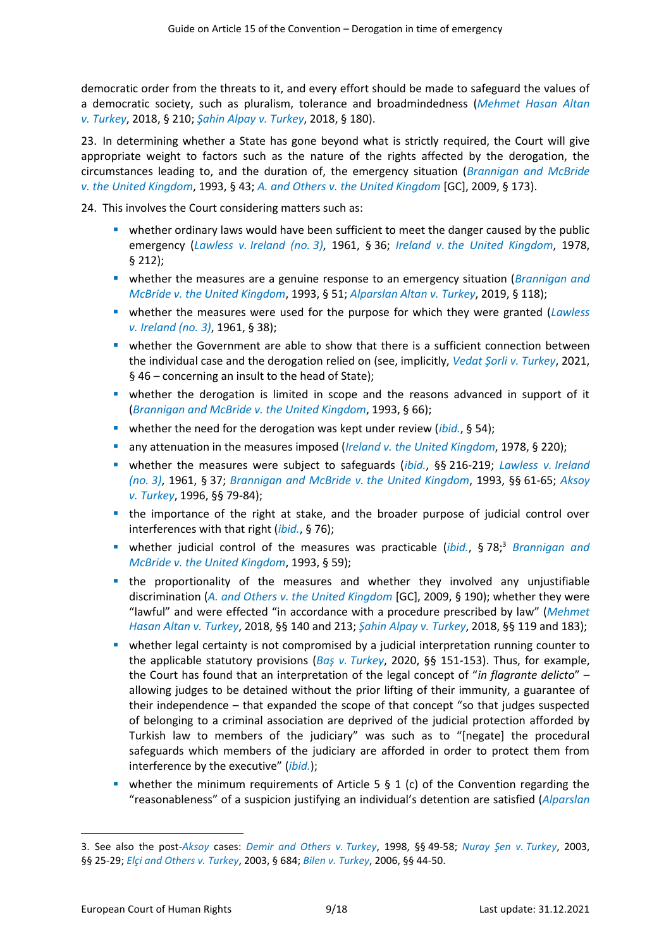democratic order from the threats to it, and every effort should be made to safeguard the values of a democratic society, such as pluralism, tolerance and broadmindedness (*[Mehmet Hasan Altan](http://hudoc.echr.coe.int/eng?i=001-181862) v. [Turkey](http://hudoc.echr.coe.int/eng?i=001-181862)*, 2018, § 210; *[Şahin Alpay](http://hudoc.echr.coe.int/eng?i=001-181866) v. Turkey*, 2018, § 180).

23. In determining whether a State has gone beyond what is strictly required, the Court will give appropriate weight to factors such as the nature of the rights affected by the derogation, the circumstances leading to, and the duration of, the emergency situation (*[Brannigan and McBride](http://hudoc.echr.coe.int/eng?i=001-57819) v. [the United Kingdom](http://hudoc.echr.coe.int/eng?i=001-57819)*, 1993, § 43; *A. and Others v. [the United Kingdom](http://hudoc.echr.coe.int/eng?i=001-91403)* [GC], 2009, § 173).

24. This involves the Court considering matters such as:

- **•** whether ordinary laws would have been sufficient to meet the danger caused by the public emergency (*Lawless v. [Ireland \(no.](http://hudoc.echr.coe.int/eng?i=001-57518) 3)*, 1961, § 36; *Ireland v. [the United Kingdom](http://hudoc.echr.coe.int/eng?i=001-57506)*, 1978, § 212);
- **E** whether the measures are a genuine response to an emergency situation (*Brannigan and McBride v. [the United Kingdom](http://hudoc.echr.coe.int/eng?i=001-57819)*, 1993, § 51; *[Alparslan Altan](http://hudoc.echr.coe.int/eng?i=001-192804) v. Turkey*, 2019, § 118);
- **■** whether the measures were used for the purpose for which they were granted (*[Lawless](http://hudoc.echr.coe.int/eng?i=001-57518) v. [Ireland \(no.](http://hudoc.echr.coe.int/eng?i=001-57518) 3)*, 1961, § 38);
- **■** whether the Government are able to show that there is a sufficient connection between the individual case and the derogation relied on (see, implicitly, *[Vedat Şorli v. Turkey](https://hudoc.echr.coe.int/eng?i=001-212394)*, 2021, § 46 – concerning an insult to the head of State);
- **•** whether the derogation is limited in scope and the reasons advanced in support of it (*[Brannigan and McBride](http://hudoc.echr.coe.int/eng?i=001-57819) v. the United Kingdom*, 1993, § 66);
- whether the need for the derogation was kept under review (*[ibid.](http://hudoc.echr.coe.int/eng?i=001-57819)*, § 54);
- any attenuation in the measures imposed (*Ireland v. [the United Kingdom](http://hudoc.echr.coe.int/eng?i=001-57506)*, 1978, § 220);
- whether the measures were subject to safeguards (*[ibid.](http://hudoc.echr.coe.int/eng?i=001-57506)*, §§ 216-219; *[Lawless](http://hudoc.echr.coe.int/eng?i=001-57518) v. Ireland [\(no.](http://hudoc.echr.coe.int/eng?i=001-57518) 3)*, 1961, § 37; *[Brannigan and McBride](http://hudoc.echr.coe.int/eng?i=001-57819) v. the United Kingdom*, 1993, §§ 61-65; *[Aksoy](http://hudoc.echr.coe.int/eng?i=001-58003) v. [Turkey](http://hudoc.echr.coe.int/eng?i=001-58003)*, 1996, §§ 79-84);
- the importance of the right at stake, and the broader purpose of judicial control over interferences with that right (*[ibid.](http://hudoc.echr.coe.int/eng?i=001-58003)*, § 76);
- whether judicial control of the measures was practicable (*[ibid.](http://hudoc.echr.coe.int/eng?i=001-58003)*, § 78;<sup>3</sup> *[Brannigan and](http://hudoc.echr.coe.int/eng?i=001-57819)  McBride v. [the United Kingdom](http://hudoc.echr.coe.int/eng?i=001-57819)*, 1993, § 59);
- the proportionality of the measures and whether they involved any unjustifiable discrimination (*A. and Others v. [the United Kingdom](http://hudoc.echr.coe.int/eng?i=001-91403)* [GC], 2009, § 190); whether they were "lawful" and were effected "in accordance with a procedure prescribed by law" (*[Mehmet](http://hudoc.echr.coe.int/eng?i=001-181862)  [Hasan Altan](http://hudoc.echr.coe.int/eng?i=001-181862) v. Turkey*, 2018, §§ 140 and 213; *[Şahin Alpay](http://hudoc.echr.coe.int/eng?i=001-181866) v. Turkey*, 2018, §§ 119 and 183);
- **•** whether legal certainty is not compromised by a judicial interpretation running counter to the applicable statutory provisions (*Baş v. [Turkey](http://hudoc.echr.coe.int/eng?i=001-201761)*, 2020, §§ 151-153). Thus, for example, the Court has found that an interpretation of the legal concept of "*in flagrante delicto*" – allowing judges to be detained without the prior lifting of their immunity, a guarantee of their independence – that expanded the scope of that concept "so that judges suspected of belonging to a criminal association are deprived of the judicial protection afforded by Turkish law to members of the judiciary" was such as to "[negate] the procedural safeguards which members of the judiciary are afforded in order to protect them from interference by the executive" (*[ibid.](http://hudoc.echr.coe.int/eng?i=001-201761)*);
- whether the minimum requirements of Article 5  $\S$  1 (c) of the Convention regarding the "reasonableness" of a suspicion justifying an individual's detention are satisfied (*[Alparslan](http://hudoc.echr.coe.int/eng?i=001-192804)*

<sup>3.</sup> See also the post-*[Aksoy](http://hudoc.echr.coe.int/eng?i=001-58003)* cases: *[Demir and Others](http://hudoc.echr.coe.int/eng?i=001-58230) v. Turkey*, 1998, §§ 49-58; *[Nuray Şen](http://hudoc.echr.coe.int/eng?i=001-61139) v. Turkey*, 2003, §§ 25-29; *[Elçi and Others](http://hudoc.echr.coe.int/eng?i=001-61442) v. Turkey*, 2003, § 684; *Bilen v. [Turkey](http://hudoc.echr.coe.int/eng?i=001-72495)*, 2006, §§ 44-50.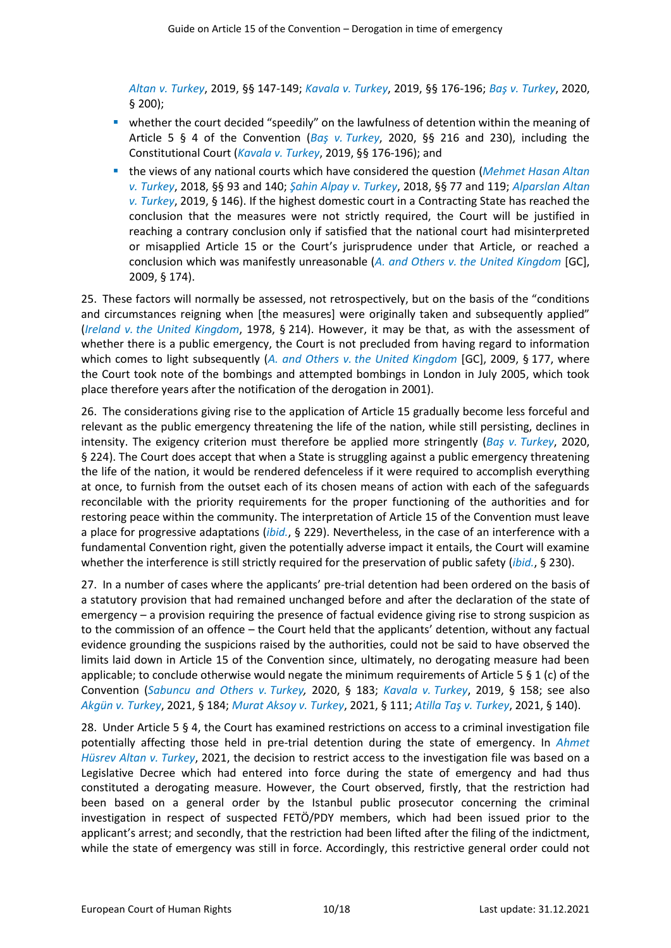*Altan v. [Turkey](http://hudoc.echr.coe.int/eng?i=001-192804)*, 2019, §§ 147-149; *[Kavala](http://hudoc.echr.coe.int/eng?i=001-199515) v. Turkey*, 2019, §§ 176-196; *Baş v. [Turkey](http://hudoc.echr.coe.int/eng?i=001-201761)*, 2020, § 200);

- whether the court decided "speedily" on the lawfulness of detention within the meaning of Article 5 § 4 of the Convention (*Baş v. [Turkey](http://hudoc.echr.coe.int/eng?i=001-201761)*, 2020, §§ 216 and 230), including the Constitutional Court (*[Kavala](http://hudoc.echr.coe.int/eng?i=001-199515) v. Turkey*, 2019, §§ 176-196); and
- the views of any national courts which have considered the question (*[Mehmet Hasan Altan](http://hudoc.echr.coe.int/eng?i=001-181862) v. [Turkey](http://hudoc.echr.coe.int/eng?i=001-181862)*, 2018, §§ 93 and 140; *[Şahin Alpay](http://hudoc.echr.coe.int/eng?i=001-181866) v. Turkey*, 2018, §§ 77 and 119; *[Alparslan Altan](http://hudoc.echr.coe.int/eng?i=001-192804) v. [Turkey](http://hudoc.echr.coe.int/eng?i=001-192804)*, 2019, § 146). If the highest domestic court in a Contracting State has reached the conclusion that the measures were not strictly required, the Court will be justified in reaching a contrary conclusion only if satisfied that the national court had misinterpreted or misapplied Article 15 or the Court's jurisprudence under that Article, or reached a conclusion which was manifestly unreasonable (*A. and Others v. [the United Kingdom](http://hudoc.echr.coe.int/eng?i=001-91403)* [GC], 2009, § 174).

25. These factors will normally be assessed, not retrospectively, but on the basis of the "conditions and circumstances reigning when [the measures] were originally taken and subsequently applied" (*Ireland v. [the United Kingdom](http://hudoc.echr.coe.int/eng?i=001-57506)*, 1978, § 214). However, it may be that, as with the assessment of whether there is a public emergency, the Court is not precluded from having regard to information which comes to light subsequently (*A. and Others v. [the United Kingdom](http://hudoc.echr.coe.int/eng?i=001-91403)* [GC], 2009, § 177, where the Court took note of the bombings and attempted bombings in London in July 2005, which took place therefore years after the notification of the derogation in 2001).

26. The considerations giving rise to the application of Article 15 gradually become less forceful and relevant as the public emergency threatening the life of the nation, while still persisting, declines in intensity. The exigency criterion must therefore be applied more stringently (*Baş v. [Turkey](http://hudoc.echr.coe.int/eng?i=001-201761)*, 2020, § 224). The Court does accept that when a State is struggling against a public emergency threatening the life of the nation, it would be rendered defenceless if it were required to accomplish everything at once, to furnish from the outset each of its chosen means of action with each of the safeguards reconcilable with the priority requirements for the proper functioning of the authorities and for restoring peace within the community. The interpretation of Article 15 of the Convention must leave a place for progressive adaptations (*[ibid.](http://hudoc.echr.coe.int/eng?i=001-201761)*, § 229). Nevertheless, in the case of an interference with a fundamental Convention right, given the potentially adverse impact it entails, the Court will examine whether the interference is still strictly required for the preservation of public safety (*[ibid.](http://hudoc.echr.coe.int/eng?i=001-201761)*, § 230).

27. In a number of cases where the applicants' pre-trial detention had been ordered on the basis of a statutory provision that had remained unchanged before and after the declaration of the state of emergency – a provision requiring the presence of factual evidence giving rise to strong suspicion as to the commission of an offence – the Court held that the applicants' detention, without any factual evidence grounding the suspicions raised by the authorities, could not be said to have observed the limits laid down in Article 15 of the Convention since, ultimately, no derogating measure had been applicable; to conclude otherwise would negate the minimum requirements of Article 5  $\S$  1 (c) of the Convention (*[Sabuncu and Others](http://hudoc.echr.coe.int/eng?i=001-206212) v. Turkey,* 2020, § 183; *[Kavala v.](http://hudoc.echr.coe.int/eng?i=001-199515) Turkey*, 2019, § 158; see also *[Akgün v. Turkey](https://hudoc.echr.coe.int/eng?i=001-211233)*, 2021, § 184; *[Murat Aksoy v.](https://hudoc.echr.coe.int/eng?i=001-208899) Turkey*, 2021, § 111; *[Atilla Taş](http://hudoc.echr.coe.int/eng?i=001-207367) v. Turkey*, 2021, § 140).

28. Under Article 5 § 4, the Court has examined restrictions on access to a criminal investigation file potentially affecting those held in pre-trial detention during the state of emergency. In *[Ahmet](http://hudoc.echr.coe.int/eng?i=001-209444)  [Hüsrev Altan](http://hudoc.echr.coe.int/eng?i=001-209444) v. Turkey*, 2021, the decision to restrict access to the investigation file was based on a Legislative Decree which had entered into force during the state of emergency and had thus constituted a derogating measure. However, the Court observed, firstly, that the restriction had been based on a general order by the Istanbul public prosecutor concerning the criminal investigation in respect of suspected FETÖ/PDY members, which had been issued prior to the applicant's arrest; and secondly, that the restriction had been lifted after the filing of the indictment, while the state of emergency was still in force. Accordingly, this restrictive general order could not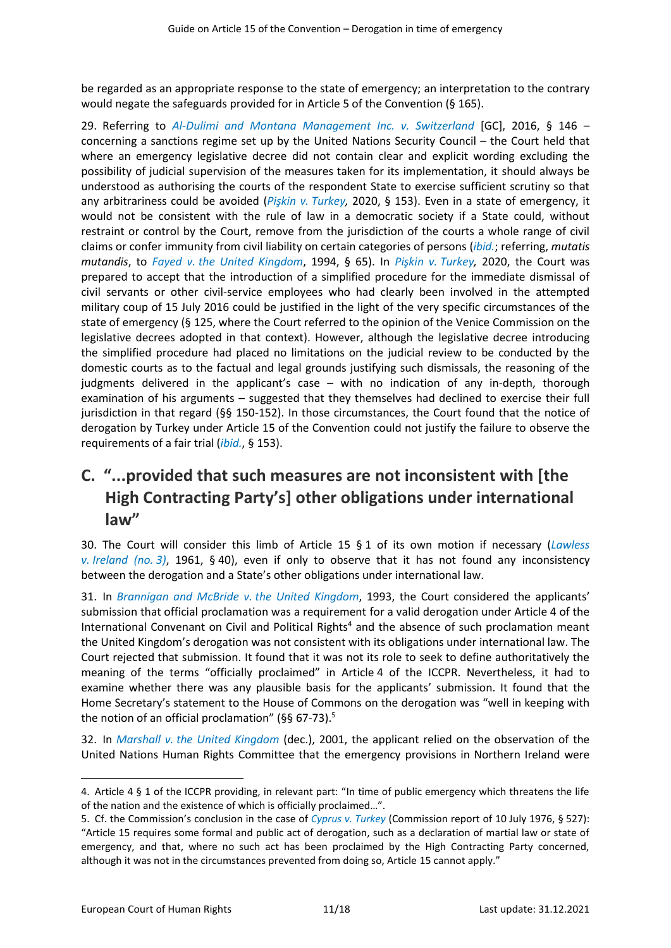be regarded as an appropriate response to the state of emergency; an interpretation to the contrary would negate the safeguards provided for in Article 5 of the Convention (§ 165).

29. Referring to *[Al-Dulimi and Montana Management Inc. v. Switzerland](http://hudoc.echr.coe.int/eng?i=001-164515)* [GC], 2016, § 146 – concerning a sanctions regime set up by the United Nations Security Council – the Court held that where an emergency legislative decree did not contain clear and explicit wording excluding the possibility of judicial supervision of the measures taken for its implementation, it should always be understood as authorising the courts of the respondent State to exercise sufficient scrutiny so that any arbitrariness could be avoided (*Pişkin v. [Turkey,](http://hudoc.echr.coe.int/eng?i=001-206901)* 2020, § 153). Even in a state of emergency, it would not be consistent with the rule of law in a democratic society if a State could, without restraint or control by the Court, remove from the jurisdiction of the courts a whole range of civil claims or confer immunity from civil liability on certain categories of persons (*[ibid.](http://hudoc.echr.coe.int/eng?i=001-206901)*; referring, *mutatis mutandis*, to *Fayed v. [the United Kingdom](http://hudoc.echr.coe.int/eng?i=001-57890)*, 1994, § 65). In *Pişkin v. [Turkey,](http://hudoc.echr.coe.int/eng?i=001-206901)* 2020, the Court was prepared to accept that the introduction of a simplified procedure for the immediate dismissal of civil servants or other civil-service employees who had clearly been involved in the attempted military coup of 15 July 2016 could be justified in the light of the very specific circumstances of the state of emergency (§ 125, where the Court referred to the opinion of the Venice Commission on the legislative decrees adopted in that context). However, although the legislative decree introducing the simplified procedure had placed no limitations on the judicial review to be conducted by the domestic courts as to the factual and legal grounds justifying such dismissals, the reasoning of the judgments delivered in the applicant's case – with no indication of any in-depth, thorough examination of his arguments – suggested that they themselves had declined to exercise their full jurisdiction in that regard (§§ 150-152). In those circumstances, the Court found that the notice of derogation by Turkey under Article 15 of the Convention could not justify the failure to observe the requirements of a fair trial (*[ibid.](http://hudoc.echr.coe.int/eng?i=001-206901)*, § 153).

## <span id="page-10-0"></span>**C. "...provided that such measures are not inconsistent with [the High Contracting Party's] other obligations under international law"**

30. The Court will consider this limb of Article 15 § 1 of its own motion if necessary (*[Lawless](http://hudoc.echr.coe.int/eng?i=001-57518) v. [Ireland \(no.](http://hudoc.echr.coe.int/eng?i=001-57518) 3)*, 1961, § 40), even if only to observe that it has not found any inconsistency between the derogation and a State's other obligations under international law.

31. In *[Brannigan and McBride](http://hudoc.echr.coe.int/eng?i=001-57819) v. the United Kingdom*, 1993, the Court considered the applicants' submission that official proclamation was a requirement for a valid derogation under Article 4 of the International Convenant on Civil and Political Rights<sup>4</sup> and the absence of such proclamation meant the United Kingdom's derogation was not consistent with its obligations under international law. The Court rejected that submission. It found that it was not its role to seek to define authoritatively the meaning of the terms "officially proclaimed" in Article 4 of the ICCPR. Nevertheless, it had to examine whether there was any plausible basis for the applicants' submission. It found that the Home Secretary's statement to the House of Commons on the derogation was "well in keeping with the notion of an official proclamation" ( $\S$ § 67-73).<sup>5</sup>

32. In *Marshall v. [the United Kingdom](http://hudoc.echr.coe.int/eng?i=001-5967)* (dec.), 2001, the applicant relied on the observation of the United Nations Human Rights Committee that the emergency provisions in Northern Ireland were

<sup>4.</sup> Article 4 § 1 of the ICCPR providing, in relevant part: "In time of public emergency which threatens the life of the nation and the existence of which is officially proclaimed…".

<sup>5.</sup> Cf. the Commission's conclusion in the case of *Cyprus v. [Turkey](http://hudoc.echr.coe.int/eng?i=001-142540)* (Commission report of 10 July 1976, § 527): "Article 15 requires some formal and public act of derogation, such as a declaration of martial law or state of emergency, and that, where no such act has been proclaimed by the High Contracting Party concerned, although it was not in the circumstances prevented from doing so, Article 15 cannot apply."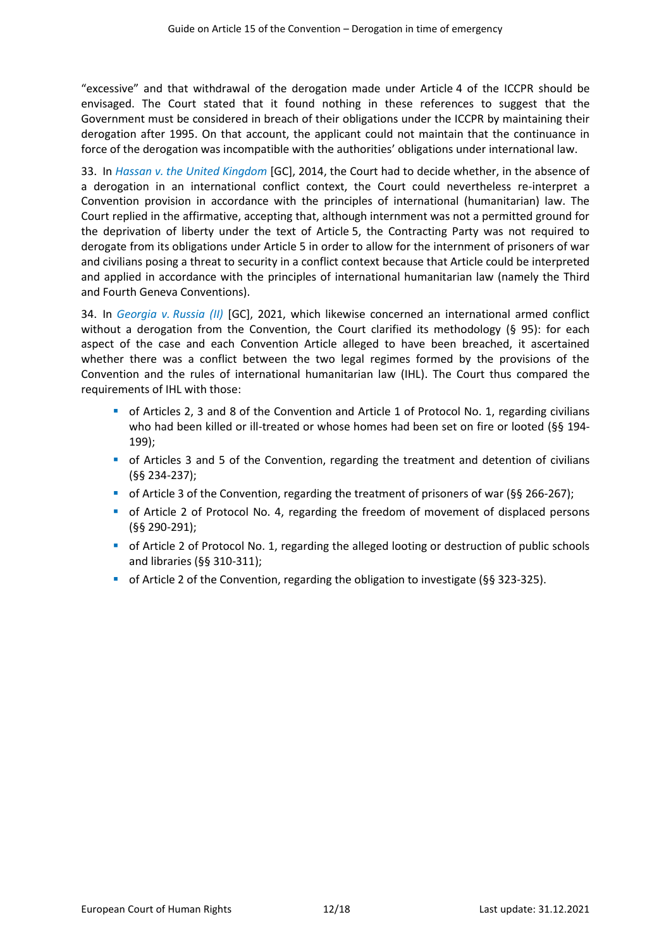"excessive" and that withdrawal of the derogation made under Article 4 of the ICCPR should be envisaged. The Court stated that it found nothing in these references to suggest that the Government must be considered in breach of their obligations under the ICCPR by maintaining their derogation after 1995. On that account, the applicant could not maintain that the continuance in force of the derogation was incompatible with the authorities' obligations under international law.

33. In *Hassan v. [the United Kingdom](http://hudoc.echr.coe.int/eng?i=001-146501)* [GC], 2014, the Court had to decide whether, in the absence of a derogation in an international conflict context, the Court could nevertheless re-interpret a Convention provision in accordance with the principles of international (humanitarian) law. The Court replied in the affirmative, accepting that, although internment was not a permitted ground for the deprivation of liberty under the text of Article 5, the Contracting Party was not required to derogate from its obligations under Article 5 in order to allow for the internment of prisoners of war and civilians posing a threat to security in a conflict context because that Article could be interpreted and applied in accordance with the principles of international humanitarian law (namely the Third and Fourth Geneva Conventions).

34. In *Georgia v. [Russia \(II\)](http://hudoc.echr.coe.int/eng?i=001-207757)* [GC], 2021, which likewise concerned an international armed conflict without a derogation from the Convention, the Court clarified its methodology (§ 95): for each aspect of the case and each Convention Article alleged to have been breached, it ascertained whether there was a conflict between the two legal regimes formed by the provisions of the Convention and the rules of international humanitarian law (IHL). The Court thus compared the requirements of IHL with those:

- **•** of Articles 2, 3 and 8 of the Convention and Article 1 of Protocol No. 1, regarding civilians who had been killed or ill-treated or whose homes had been set on fire or looted (§§ 194- 199);
- **•** of Articles 3 and 5 of the Convention, regarding the treatment and detention of civilians (§§ 234-237);
- of Article 3 of the Convention, regarding the treatment of prisoners of war (§§ 266-267);
- **•** of Article 2 of Protocol No. 4, regarding the freedom of movement of displaced persons (§§ 290-291);
- of Article 2 of Protocol No. 1, regarding the alleged looting or destruction of public schools and libraries (§§ 310-311);
- of Article 2 of the Convention, regarding the obligation to investigate (§§ 323-325).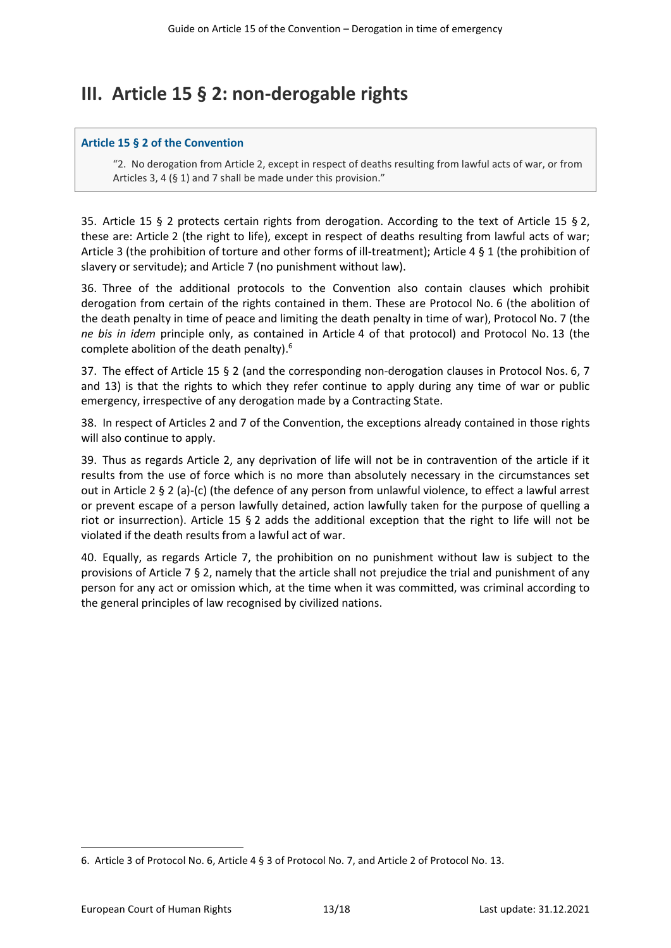## <span id="page-12-0"></span>**III. Article 15 § 2: non-derogable rights**

#### **Article 15 § 2 of the Convention**

"2. No derogation from Article 2, except in respect of deaths resulting from lawful acts of war, or from Articles 3, 4 (§ 1) and 7 shall be made under this provision."

35. Article 15 § 2 protects certain rights from derogation. According to the text of Article 15 § 2, these are: Article 2 (the right to life), except in respect of deaths resulting from lawful acts of war; Article 3 (the prohibition of torture and other forms of ill-treatment); Article 4 § 1 (the prohibition of slavery or servitude); and Article 7 (no punishment without law).

36. Three of the additional protocols to the Convention also contain clauses which prohibit derogation from certain of the rights contained in them. These are Protocol No. 6 (the abolition of the death penalty in time of peace and limiting the death penalty in time of war), Protocol No. 7 (the *ne bis in idem* principle only, as contained in Article 4 of that protocol) and Protocol No. 13 (the complete abolition of the death penalty). 6

37. The effect of Article 15 § 2 (and the corresponding non-derogation clauses in Protocol Nos. 6, 7 and 13) is that the rights to which they refer continue to apply during any time of war or public emergency, irrespective of any derogation made by a Contracting State.

38. In respect of Articles 2 and 7 of the Convention, the exceptions already contained in those rights will also continue to apply.

39. Thus as regards Article 2, any deprivation of life will not be in contravention of the article if it results from the use of force which is no more than absolutely necessary in the circumstances set out in Article 2 § 2 (a)-(c) (the defence of any person from unlawful violence, to effect a lawful arrest or prevent escape of a person lawfully detained, action lawfully taken for the purpose of quelling a riot or insurrection). Article 15 § 2 adds the additional exception that the right to life will not be violated if the death results from a lawful act of war.

40. Equally, as regards Article 7, the prohibition on no punishment without law is subject to the provisions of Article 7 § 2, namely that the article shall not prejudice the trial and punishment of any person for any act or omission which, at the time when it was committed, was criminal according to the general principles of law recognised by civilized nations.

<sup>6.</sup> Article 3 of Protocol No. 6, Article 4 § 3 of Protocol No. 7, and Article 2 of Protocol No. 13.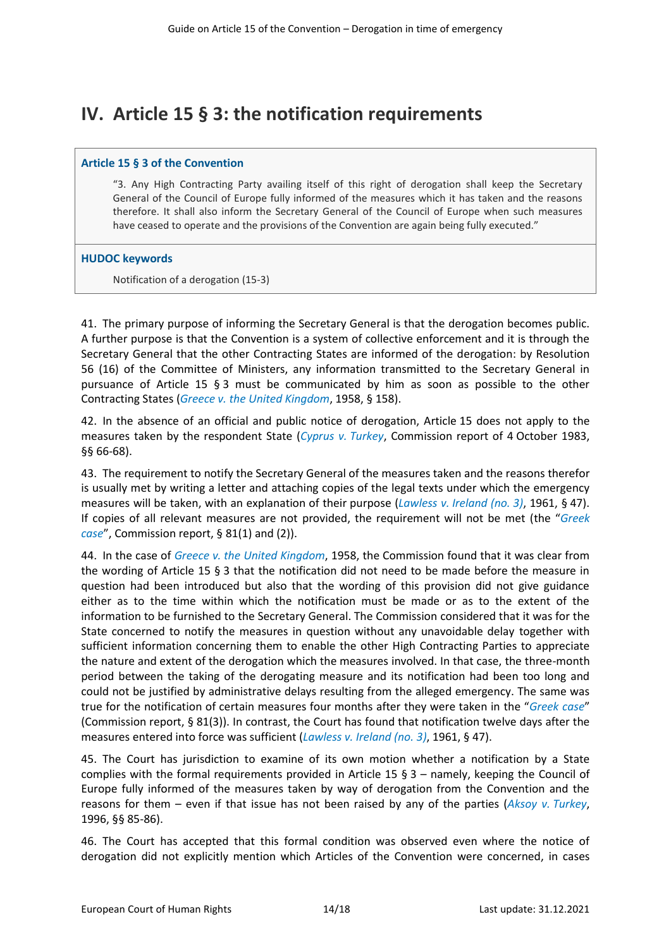## <span id="page-13-0"></span>**IV. Article 15 § 3: the notification requirements**

#### **Article 15 § 3 of the Convention**

"3. Any High Contracting Party availing itself of this right of derogation shall keep the Secretary General of the Council of Europe fully informed of the measures which it has taken and the reasons therefore. It shall also inform the Secretary General of the Council of Europe when such measures have ceased to operate and the provisions of the Convention are again being fully executed."

#### **HUDOC keywords**

Notification of a derogation (15-3)

41. The primary purpose of informing the Secretary General is that the derogation becomes public. A further purpose is that the Convention is a system of collective enforcement and it is through the Secretary General that the other Contracting States are informed of the derogation: by Resolution 56 (16) of the Committee of Ministers, any information transmitted to the Secretary General in pursuance of Article 15 § 3 must be communicated by him as soon as possible to the other Contracting States (*Greece v. [the United Kingdom](http://hudoc.echr.coe.int/eng?i=001-73858)*, 1958, § 158).

42. In the absence of an official and public notice of derogation, Article 15 does not apply to the measures taken by the respondent State (*Cyprus v. [Turkey](http://hudoc.echr.coe.int/eng?i=001-104211)*, Commission report of 4 October 1983, §§ 66-68).

43. The requirement to notify the Secretary General of the measures taken and the reasons therefor is usually met by writing a letter and attaching copies of the legal texts under which the emergency measures will be taken, with an explanation of their purpose (*Lawless v. [Ireland \(no.](http://hudoc.echr.coe.int/eng?i=001-57518) 3)*, 1961, § 47). If copies of all relevant measures are not provided, the requirement will not be met (the "*[Greek](http://hudoc.echr.coe.int/eng?i=001-167795) [case](http://hudoc.echr.coe.int/eng?i=001-167795)*", Commission report, § 81(1) and (2)).

44. In the case of *Greece v. [the United Kingdom](http://hudoc.echr.coe.int/eng?i=001-73858)*, 1958, the Commission found that it was clear from the wording of Article 15 § 3 that the notification did not need to be made before the measure in question had been introduced but also that the wording of this provision did not give guidance either as to the time within which the notification must be made or as to the extent of the information to be furnished to the Secretary General. The Commission considered that it was for the State concerned to notify the measures in question without any unavoidable delay together with sufficient information concerning them to enable the other High Contracting Parties to appreciate the nature and extent of the derogation which the measures involved. In that case, the three-month period between the taking of the derogating measure and its notification had been too long and could not be justified by administrative delays resulting from the alleged emergency. The same was true for the notification of certain measures four months after they were taken in the "*[Greek case](http://hudoc.echr.coe.int/eng?i=001-167795)*" (Commission report, § 81(3)). In contrast, the Court has found that notification twelve days after the measures entered into force was sufficient (*Lawless v. [Ireland \(no.](http://hudoc.echr.coe.int/eng?i=001-57518) 3)*, 1961, § 47).

45. The Court has jurisdiction to examine of its own motion whether a notification by a State complies with the formal requirements provided in Article 15 § 3 – namely, keeping the Council of Europe fully informed of the measures taken by way of derogation from the Convention and the reasons for them – even if that issue has not been raised by any of the parties (*Aksoy v. [Turkey](http://hudoc.echr.coe.int/eng?i=001-58003)*, 1996, §§ 85-86).

46. The Court has accepted that this formal condition was observed even where the notice of derogation did not explicitly mention which Articles of the Convention were concerned, in cases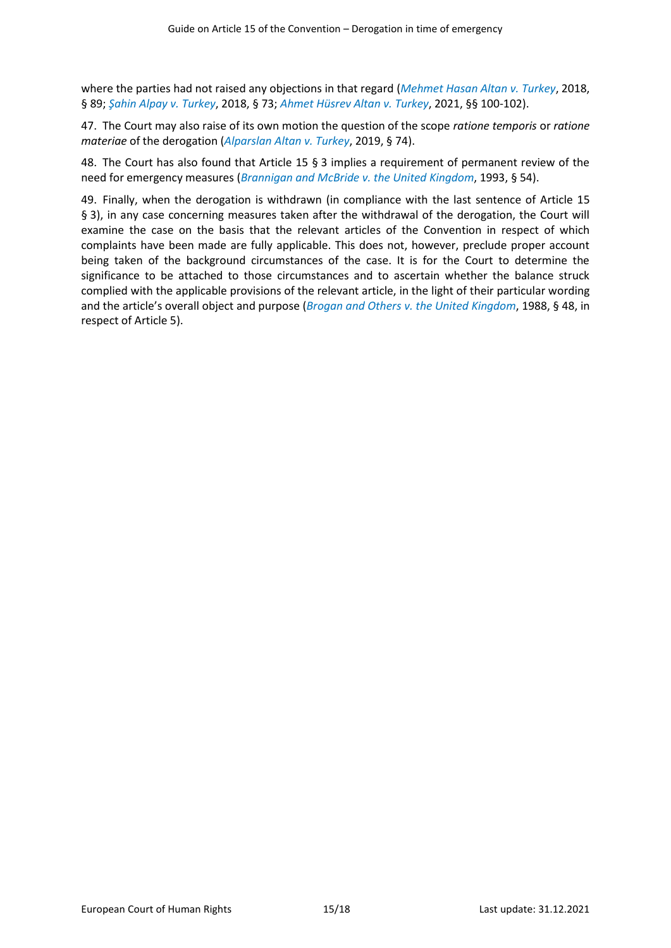where the parties had not raised any objections in that regard (*[Mehmet Hasan Altan](http://hudoc.echr.coe.int/eng?i=001-181862) v. Turkey*, 2018, § 89; *Şahin Alpay v. [Turkey](http://hudoc.echr.coe.int/eng?i=001-181866)*, 2018, § 73; *[Ahmet Hüsrev Altan](http://hudoc.echr.coe.int/eng?i=001-209444) v. Turkey*, 2021, §§ 100-102).

47. The Court may also raise of its own motion the question of the scope *ratione temporis* or *ratione materiae* of the derogation (*[Alparslan Altan v.](http://hudoc.echr.coe.int/eng?i=001-192804) Turkey*, 2019, § 74).

48. The Court has also found that Article 15 § 3 implies a requirement of permanent review of the need for emergency measures (*[Brannigan and McBride](http://hudoc.echr.coe.int/eng?i=001-57819) v. the United Kingdom*, 1993, § 54).

49. Finally, when the derogation is withdrawn (in compliance with the last sentence of Article 15 § 3), in any case concerning measures taken after the withdrawal of the derogation, the Court will examine the case on the basis that the relevant articles of the Convention in respect of which complaints have been made are fully applicable. This does not, however, preclude proper account being taken of the background circumstances of the case. It is for the Court to determine the significance to be attached to those circumstances and to ascertain whether the balance struck complied with the applicable provisions of the relevant article, in the light of their particular wording and the article's overall object and purpose (*Brogan and Others v. [the United Kingdom](http://hudoc.echr.coe.int/eng?i=001-57450)*, 1988, § 48, in respect of Article 5).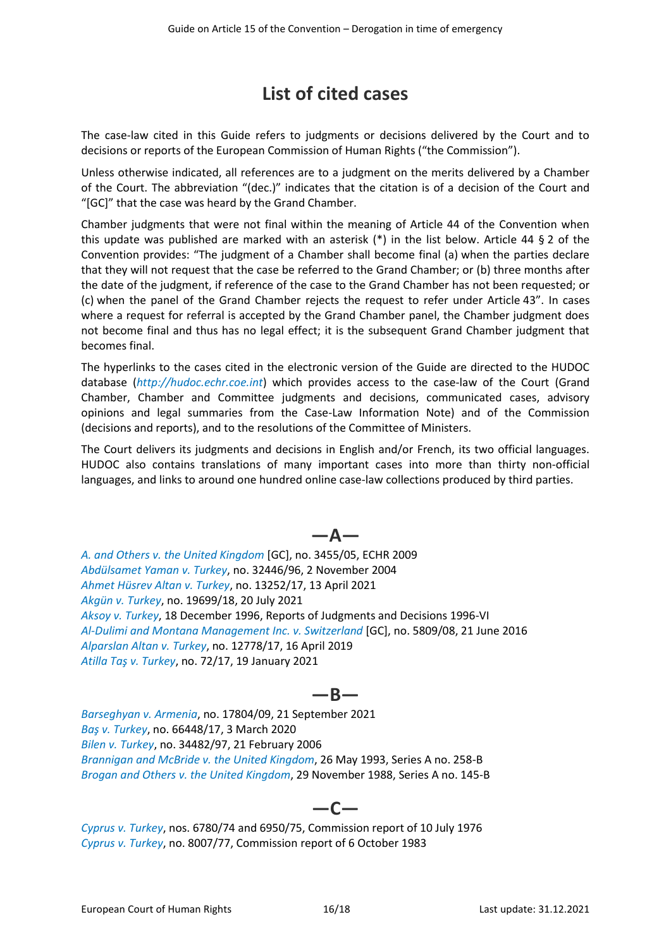## **List of cited cases**

<span id="page-15-0"></span>The case-law cited in this Guide refers to judgments or decisions delivered by the Court and to decisions or reports of the European Commission of Human Rights ("the Commission").

Unless otherwise indicated, all references are to a judgment on the merits delivered by a Chamber of the Court. The abbreviation "(dec.)" indicates that the citation is of a decision of the Court and "[GC]" that the case was heard by the Grand Chamber.

Chamber judgments that were not final within the meaning of Article 44 of the Convention when this update was published are marked with an asterisk  $(*)$  in the list below. Article 44 § 2 of the Convention provides: "The judgment of a Chamber shall become final (a) when the parties declare that they will not request that the case be referred to the Grand Chamber; or (b) three months after the date of the judgment, if reference of the case to the Grand Chamber has not been requested; or (c) when the panel of the Grand Chamber rejects the request to refer under Article 43". In cases where a request for referral is accepted by the Grand Chamber panel, the Chamber judgment does not become final and thus has no legal effect; it is the subsequent Grand Chamber judgment that becomes final.

The hyperlinks to the cases cited in the electronic version of the Guide are directed to the HUDOC database (*[http://hudoc.echr.coe.int](http://hudoc.echr.coe.int/)*) which provides access to the case-law of the Court (Grand Chamber, Chamber and Committee judgments and decisions, communicated cases, advisory opinions and legal summaries from the Case-Law Information Note) and of the Commission (decisions and reports), and to the resolutions of the Committee of Ministers.

The Court delivers its judgments and decisions in English and/or French, its two official languages. HUDOC also contains translations of many important cases into more than thirty non-official languages, and links to around one hundred online case-law collections produced by third parties.

**—A—**

*A. and Others v. [the United Kingdom](http://hudoc.echr.coe.int/eng?i=001-91403)* [GC], no. 3455/05, ECHR 2009 *[Abdülsamet Yaman](http://hudoc.echr.coe.int/eng?i=001-67228) v. Turkey*, no. 32446/96, 2 November 2004 *[Ahmet Hüsrev Altan v.](http://hudoc.echr.coe.int/eng?i=001-209444) Turkey*, no. 13252/17, 13 April 2021 *[Akgün v. Turkey](https://hudoc.echr.coe.int/eng?i=001-211233)*, no. 19699/18, 20 July 2021 *Aksoy v. [Turkey](http://hudoc.echr.coe.int/eng?i=001-58003)*, 18 December 1996, Reports of Judgments and Decisions 1996-VI *[Al-Dulimi and Montana Management Inc. v. Switzerland](http://hudoc.echr.coe.int/eng?i=001-164515)* [GC], no. 5809/08, 21 June 2016 *[Alparslan Altan](http://hudoc.echr.coe.int/eng?i=001-192804) v. Turkey*, no. 12778/17, 16 April 2019 *[Atilla Taş v.](http://hudoc.echr.coe.int/eng?i=001-207367) Turkey*, no. 72/17, 19 January 2021

### **—B—**

*[Barseghyan v.](http://hudoc.echr.coe.int/eng?i=001-211814) Armenia*, no. 17804/09, 21 September 2021 *Baş v. [Turkey](http://hudoc.echr.coe.int/eng?i=001-201761)*, no. 66448/17, 3 March 2020 *Bilen v. [Turkey](http://hudoc.echr.coe.int/eng?i=001-72495)*, no. 34482/97, 21 February 2006 *[Brannigan and McBride](http://hudoc.echr.coe.int/eng?i=001-57819) v. the United Kingdom*, 26 May 1993, Series A no. 258-B *Brogan and Others v. [the United Kingdom](http://hudoc.echr.coe.int/eng?i=001-57450)*, 29 November 1988, Series A no. 145-B

### **—C—**

*[Cyprus](http://hudoc.echr.coe.int/eng?i=001-142540) v. Turkey*, nos. 6780/74 and 6950/75, Commission report of 10 July 1976 *[Cyprus](http://hudoc.echr.coe.int/eng?i=001-104211) v. Turkey*, no. 8007/77, Commission report of 6 October 1983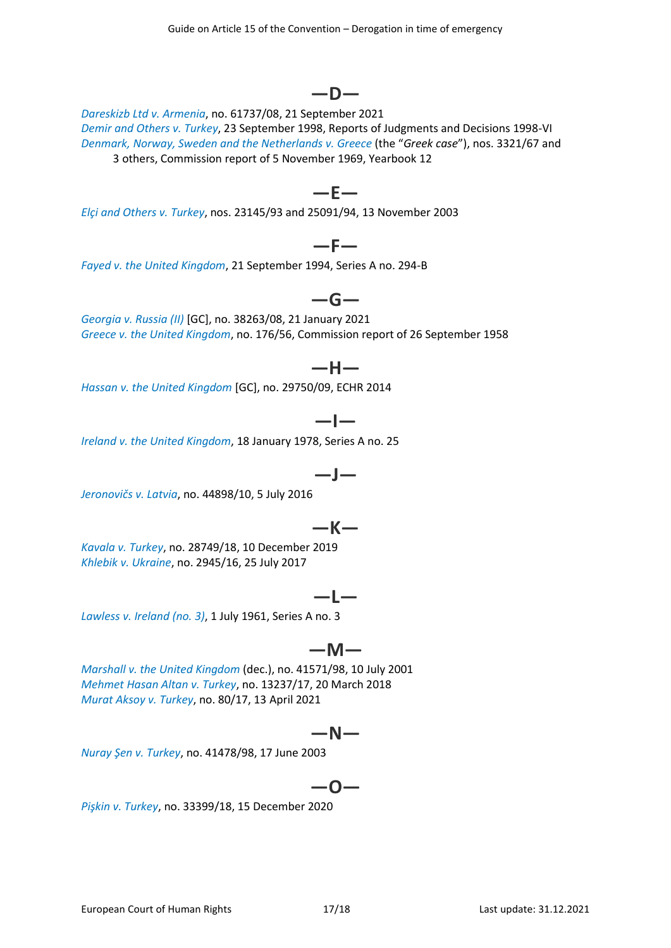*[Demir and Others](http://hudoc.echr.coe.int/eng?i=001-58230) v. Turkey*, 23 September 1998, Reports of Judgments and Decisions 1998-VI *[Denmark, Norway, Sweden](http://hudoc.echr.coe.int/eng?i=001-167795) and the Netherlands v. Greece* (the "*Greek case*"), nos. 3321/67 and 3 others, Commission report of 5 November 1969, Yearbook 12

Guide on Article 15 of the Convention – Derogation in time of emergency

**—D—**

**—E—**

**—F—**

**—G—**

*[Elçi and Others](http://hudoc.echr.coe.int/eng?i=001-61442) v. Turkey*, nos. 23145/93 and 25091/94, 13 November 2003

*Fayed v. [the United Kingdom](http://hudoc.echr.coe.int/eng?i=001-57890)*, 21 September 1994, Series A no. 294-B

*[Georgia v.](http://hudoc.echr.coe.int/eng?i=001-207757) Russia (II)* [GC], no. 38263/08, 21 January 2021 *Greece v. [the United Kingdom](http://hudoc.echr.coe.int/eng?i=001-73858)*, no. 176/56, Commission report of 26 September 1958

*Hassan v. [the United Kingdom](http://hudoc.echr.coe.int/eng?i=001-146501)* [GC], no. 29750/09, ECHR 2014

### **—I—**

**—H—**

*Ireland v. [the United Kingdom](http://hudoc.echr.coe.int/eng?i=001-57506)*, 18 January 1978, Series A no. 25

$$
-J-
$$

*[Jeronovičs](http://hudoc.echr.coe.int/eng?i=001-165032) v. Latvia*, no. 44898/10, 5 July 2016

### **—K—**

*[Kavala](http://hudoc.echr.coe.int/eng?i=001-199515) v. Turkey*, no. 28749/18, 10 December 2019 *Khlebik v. [Ukraine](http://hudoc.echr.coe.int/eng?i=001-175656)*, no. 2945/16, 25 July 2017

### **—L—**

*Lawless v. [Ireland \(no.](http://hudoc.echr.coe.int/eng?i=001-57518) 3)*, 1 July 1961, Series A no. 3

### **—M—**

*Marshall v. [the United Kingdom](http://hudoc.echr.coe.int/eng?i=001-5967)* (dec.), no. 41571/98, 10 July 2001 *[Mehmet Hasan Altan](http://hudoc.echr.coe.int/eng?i=001-181862) v. Turkey*, no. 13237/17, 20 March 2018 *[Murat Aksoy v.](https://hudoc.echr.coe.int/eng?i=001-208899) Turkey*, no. 80/17, 13 April 2021

### **—N—**

*[Nuray Şen](http://hudoc.echr.coe.int/eng?i=001-61139) v. Turkey*, no. 41478/98, 17 June 2003

## **—O—**

*[Pişkin v.](http://hudoc.echr.coe.int/eng?i=001-206901) Turkey*, no. 33399/18, 15 December 2020